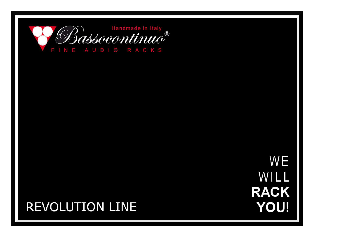

# WE WILL **RACK YOU!**

# **REVOLUTION LINE**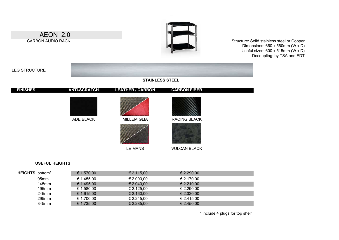

#### **USEFUL HEIGHTS**

| <b>HEIGHTS: bottom*</b> | € 1.570,00 | € 2.115,00 | € 2.290,00 |  |
|-------------------------|------------|------------|------------|--|
| 95 <sub>mm</sub>        | € 1.455.00 | € 2.000,00 | € 2.170,00 |  |
| $145$ mm                | € 1.495,00 | € 2.040,00 | € 2.210,00 |  |
| 195mm                   | € 1.580,00 | € 2.125,00 | € 2.290,00 |  |
| 245mm                   | € 1.615,00 | € 2.160,00 | € 2.320,00 |  |
| 295mm                   | € 1.700,00 | € 2.245,00 | € 2.415,00 |  |
| 345mm                   | € 1.735,00 | € 2.285,00 | € 2.450,00 |  |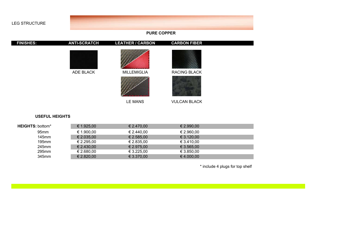

**USEFUL HEIGHTS**

| <b>HEIGHTS: bottom*</b> | € 1.925,00 | € 2.470.00 | € 2.990.00 |  |
|-------------------------|------------|------------|------------|--|
| 95 <sub>mm</sub>        | € 1.900,00 | € 2.440,00 | € 2.960,00 |  |
| $145$ mm                | € 2.035,00 | € 2.585.00 | € 3.120,00 |  |
| $195$ mm                | € 2.295,00 | € 2.835,00 | € 3.410,00 |  |
| 245mm                   | € 2.430,00 | € 2.975,00 | € 3.565,00 |  |
| 295mm                   | € 2.680,00 | € 3.225,00 | € 3.850,00 |  |
| 345mm                   | € 2.820,00 | € 3.370,00 | € 4.000,00 |  |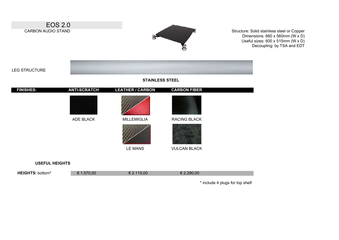

**USEFUL HEIGHTS**

| <b>HEIGHTS: bottom*</b> | 5/0.00 | $-115,00$ | 290.00 |
|-------------------------|--------|-----------|--------|
|                         |        |           |        |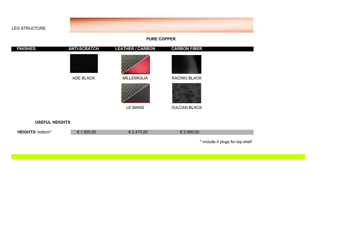

#### **PURE COPPER**

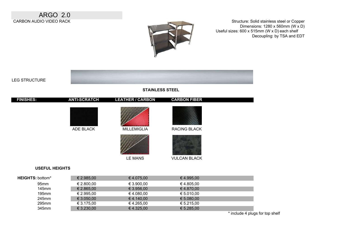ARGO 2.0 CARBON AUDIO VIDEO RACK



Structure: Solid stainless steel or Copper Dimensions: 1280 x 560mm (W x D) Useful sizes: 600 x 515mm (W x D) each shelf Decoupling: by TSA and EDT



#### **STAINLESS STEEL**



| .                | --------   | --------   | <u>.</u>   |  |
|------------------|------------|------------|------------|--|
| 95 <sub>mm</sub> | € 2.800,00 | € 3.900.00 | € 4.805.00 |  |
| $145$ mm         | € 2.865,00 | € 3.956.00 | € 4.870.00 |  |
| $195$ mm         | € 2.995.00 | € 4.080.00 | € 5.010.00 |  |
| 245mm            | € 3.050.00 | € 4.140.00 | € 5.080.00 |  |
| 295mm            | € 3.175,00 | € 4.265,00 | € 5.215.00 |  |
| 345mm            | € 3.230,00 | € 4.325.00 | € 5.285.00 |  |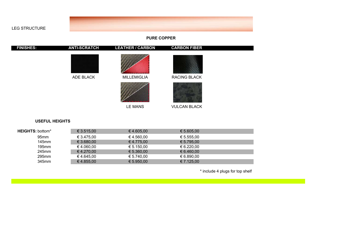

### **PURE COPPER**



#### **USEFUL HEIGHTS**

LEG STRUCTURE

| <b>HEIGHTS: bottom*</b> | € 3.515,00 | € 4.605,00 | € 5.605,00 |  |
|-------------------------|------------|------------|------------|--|
| 95 <sub>mm</sub>        | € 3.475,00 | € 4.560,00 | € 5.555,00 |  |
| 145 <sub>mm</sub>       | € 3.680,00 | € 4.775,00 | € 5.795.00 |  |
| $195$ mm                | € 4.060,00 | € 5.150,00 | € 6.220,00 |  |
| 245mm                   | € 4.270,00 | € 5.360,00 | € 6.460,00 |  |
| 295mm                   | € 4.645,00 | € 5.740,00 | € 6.890,00 |  |
| 345mm                   | € 4.855,00 | € 5.950,00 | € 7.125,00 |  |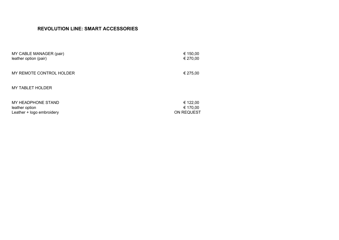# **REVOLUTION LINE: SMART ACCESSORIES**

| MY CABLE MANAGER (pair)   | € 150,00   |
|---------------------------|------------|
| leather option (pair)     | € 270,00   |
| MY REMOTE CONTROL HOLDER  | € 275,00   |
| <b>MY TABLET HOLDER</b>   |            |
| MY HEADPHONE STAND        | € 122,00   |
| leather option            | € 170,00   |
| Leather + logo embroidery | ON REQUEST |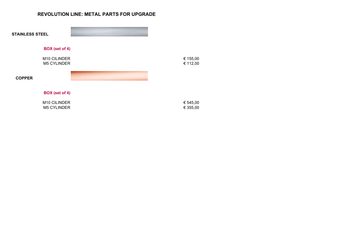## **REVOLUTION LINE: METAL PARTS FOR UPGRADE**

| <b>STAINLESS STEEL</b>             |                      |
|------------------------------------|----------------------|
| BOX (set of 4)                     |                      |
| M10 CILINDER<br><b>M5 CYLINDER</b> | € 155,00<br>€ 112,00 |
| <b>COPPER</b>                      |                      |
| BOX (set of 4)                     |                      |
| M10 CILINDER<br><b>M5 CYLINDER</b> | € 545,00<br>€ 355,00 |